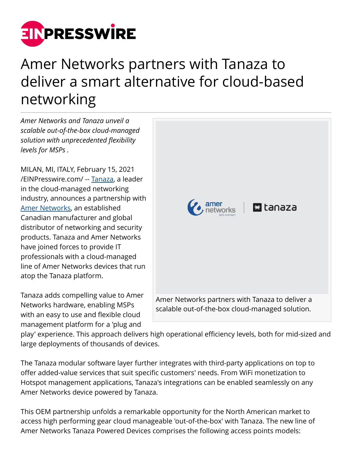

## Amer Networks partners with Tanaza to deliver a smart alternative for cloud-based networking

*Amer Networks and Tanaza unveil a scalable out-of-the-box cloud-managed solution with unprecedented flexibility levels for MSPs .*

MILAN, MI, ITALY, February 15, 2021 [/EINPresswire.com/](http://www.einpresswire.com) -- [Tanaza,](https://www.tanaza.com/) a leader in the cloud-managed networking industry, announces a partnership with [Amer Networks,](https://amer.com/) an established Canadian manufacturer and global distributor of networking and security products. Tanaza and Amer Networks have joined forces to provide IT professionals with a cloud-managed line of Amer Networks devices that run atop the Tanaza platform.

Tanaza adds compelling value to Amer Networks hardware, enabling MSPs with an easy to use and flexible cloud management platform for a 'plug and



play' experience. This approach delivers high operational efficiency levels, both for mid-sized and large deployments of thousands of devices.

The Tanaza modular software layer further integrates with third-party applications on top to offer added-value services that suit specific customers' needs. From WiFi monetization to Hotspot management applications, Tanaza's integrations can be enabled seamlessly on any Amer Networks device powered by Tanaza.

This OEM partnership unfolds a remarkable opportunity for the North American market to access high performing gear cloud manageable 'out-of-the-box' with Tanaza. The new line of Amer Networks Tanaza Powered Devices comprises the following access points models: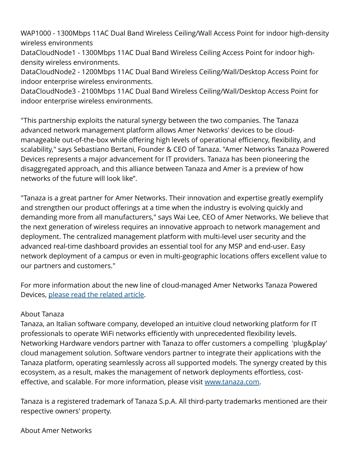WAP1000 - 1300Mbps 11AC Dual Band Wireless Ceiling/Wall Access Point for indoor high-density wireless environments

DataCloudNode1 - 1300Mbps 11AC Dual Band Wireless Ceiling Access Point for indoor highdensity wireless environments.

DataCloudNode2 - 1200Mbps 11AC Dual Band Wireless Ceiling/Wall/Desktop Access Point for indoor enterprise wireless environments.

DataCloudNode3 - 2100Mbps 11AC Dual Band Wireless Ceiling/Wall/Desktop Access Point for indoor enterprise wireless environments.

"This partnership exploits the natural synergy between the two companies. The Tanaza advanced network management platform allows Amer Networks' devices to be cloudmanageable out-of-the-box while offering high levels of operational efficiency, flexibility, and scalability," says Sebastiano Bertani, Founder & CEO of Tanaza. "Amer Networks Tanaza Powered Devices represents a major advancement for IT providers. Tanaza has been pioneering the disaggregated approach, and this alliance between Tanaza and Amer is a preview of how networks of the future will look like".

"Tanaza is a great partner for Amer Networks. Their innovation and expertise greatly exemplify and strengthen our product offerings at a time when the industry is evolving quickly and demanding more from all manufacturers," says Wai Lee, CEO of Amer Networks. We believe that the next generation of wireless requires an innovative approach to network management and deployment. The centralized management platform with multi-level user security and the advanced real-time dashboard provides an essential tool for any MSP and end-user. Easy network deployment of a campus or even in multi-geographic locations offers excellent value to our partners and customers."

For more information about the new line of cloud-managed Amer Networks Tanaza Powered Devices, [please read the related article.](https://www.tanaza.com/blog/amer-networks-tanaza-powered-devices/)

## About Tanaza

Tanaza, an Italian software company, developed an intuitive cloud networking platform for IT professionals to operate WiFi networks efficiently with unprecedented flexibility levels. Networking Hardware vendors partner with Tanaza to offer customers a compelling 'plug&play' cloud management solution. Software vendors partner to integrate their applications with the Tanaza platform, operating seamlessly across all supported models. The synergy created by this ecosystem, as a result, makes the management of network deployments effortless, costeffective, and scalable. For more information, please visit [www.tanaza.com](http://www.tanaza.com).

Tanaza is a registered trademark of Tanaza S.p.A. All third-party trademarks mentioned are their respective owners' property.

About Amer Networks